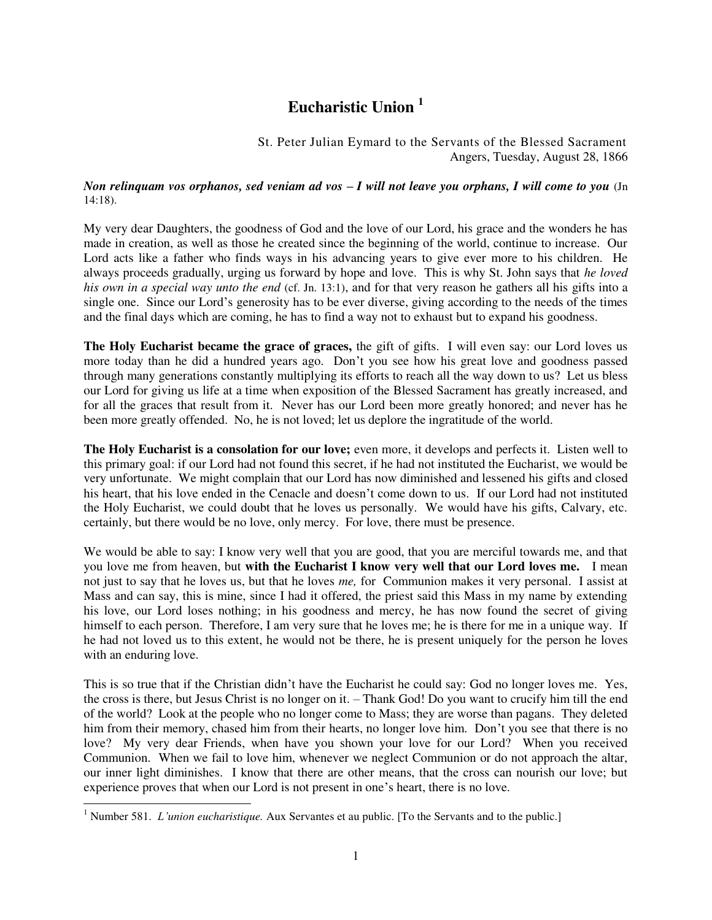## **Eucharistic Union <sup>1</sup>**

## St. Peter Julian Eymard to the Servants of the Blessed Sacrament Angers, Tuesday, August 28, 1866

## *Non relinquam vos orphanos, sed veniam ad vos – I will not leave you orphans, I will come to you* (Jn 14:18).

My very dear Daughters, the goodness of God and the love of our Lord, his grace and the wonders he has made in creation, as well as those he created since the beginning of the world, continue to increase. Our Lord acts like a father who finds ways in his advancing years to give ever more to his children. He always proceeds gradually, urging us forward by hope and love. This is why St. John says that *he loved his own in a special way unto the end* (cf. Jn. 13:1), and for that very reason he gathers all his gifts into a single one. Since our Lord's generosity has to be ever diverse, giving according to the needs of the times and the final days which are coming, he has to find a way not to exhaust but to expand his goodness.

**The Holy Eucharist became the grace of graces,** the gift of gifts. I will even say: our Lord loves us more today than he did a hundred years ago. Don't you see how his great love and goodness passed through many generations constantly multiplying its efforts to reach all the way down to us? Let us bless our Lord for giving us life at a time when exposition of the Blessed Sacrament has greatly increased, and for all the graces that result from it. Never has our Lord been more greatly honored; and never has he been more greatly offended. No, he is not loved; let us deplore the ingratitude of the world.

**The Holy Eucharist is a consolation for our love;** even more, it develops and perfects it. Listen well to this primary goal: if our Lord had not found this secret, if he had not instituted the Eucharist, we would be very unfortunate. We might complain that our Lord has now diminished and lessened his gifts and closed his heart, that his love ended in the Cenacle and doesn't come down to us. If our Lord had not instituted the Holy Eucharist, we could doubt that he loves us personally. We would have his gifts, Calvary, etc. certainly, but there would be no love, only mercy. For love, there must be presence.

We would be able to say: I know very well that you are good, that you are merciful towards me, and that you love me from heaven, but **with the Eucharist I know very well that our Lord loves me.** I mean not just to say that he loves us, but that he loves *me,* for Communion makes it very personal. I assist at Mass and can say, this is mine, since I had it offered, the priest said this Mass in my name by extending his love, our Lord loses nothing; in his goodness and mercy, he has now found the secret of giving himself to each person. Therefore, I am very sure that he loves me; he is there for me in a unique way. If he had not loved us to this extent, he would not be there, he is present uniquely for the person he loves with an enduring love.

This is so true that if the Christian didn't have the Eucharist he could say: God no longer loves me. Yes, the cross is there, but Jesus Christ is no longer on it. – Thank God! Do you want to crucify him till the end of the world? Look at the people who no longer come to Mass; they are worse than pagans. They deleted him from their memory, chased him from their hearts, no longer love him. Don't you see that there is no love? My very dear Friends, when have you shown your love for our Lord? When you received Communion. When we fail to love him, whenever we neglect Communion or do not approach the altar, our inner light diminishes. I know that there are other means, that the cross can nourish our love; but experience proves that when our Lord is not present in one's heart, there is no love.

 $\overline{a}$ <sup>1</sup> Number 581. *L'union eucharistique*. Aux Servantes et au public. [To the Servants and to the public.]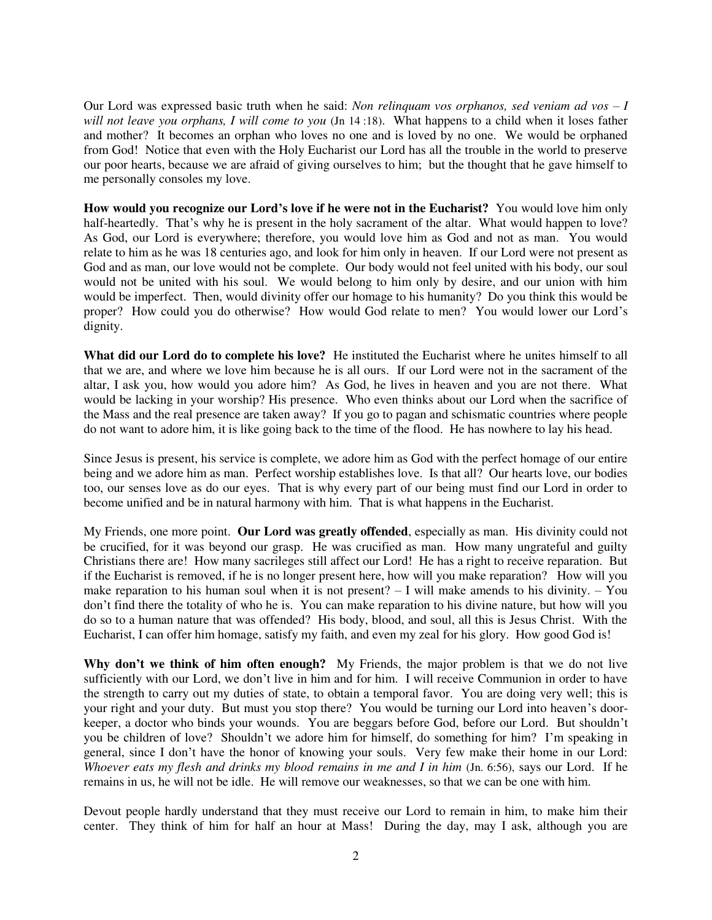Our Lord was expressed basic truth when he said: *Non relinquam vos orphanos, sed veniam ad vos – I will not leave you orphans, I will come to you* (Jn 14 :18). What happens to a child when it loses father and mother? It becomes an orphan who loves no one and is loved by no one. We would be orphaned from God! Notice that even with the Holy Eucharist our Lord has all the trouble in the world to preserve our poor hearts, because we are afraid of giving ourselves to him; but the thought that he gave himself to me personally consoles my love.

**How would you recognize our Lord's love if he were not in the Eucharist?** You would love him only half-heartedly. That's why he is present in the holy sacrament of the altar. What would happen to love? As God, our Lord is everywhere; therefore, you would love him as God and not as man. You would relate to him as he was 18 centuries ago, and look for him only in heaven. If our Lord were not present as God and as man, our love would not be complete. Our body would not feel united with his body, our soul would not be united with his soul. We would belong to him only by desire, and our union with him would be imperfect. Then, would divinity offer our homage to his humanity? Do you think this would be proper? How could you do otherwise? How would God relate to men? You would lower our Lord's dignity.

**What did our Lord do to complete his love?** He instituted the Eucharist where he unites himself to all that we are, and where we love him because he is all ours. If our Lord were not in the sacrament of the altar, I ask you, how would you adore him? As God, he lives in heaven and you are not there. What would be lacking in your worship? His presence. Who even thinks about our Lord when the sacrifice of the Mass and the real presence are taken away? If you go to pagan and schismatic countries where people do not want to adore him, it is like going back to the time of the flood. He has nowhere to lay his head.

Since Jesus is present, his service is complete, we adore him as God with the perfect homage of our entire being and we adore him as man. Perfect worship establishes love. Is that all? Our hearts love, our bodies too, our senses love as do our eyes. That is why every part of our being must find our Lord in order to become unified and be in natural harmony with him. That is what happens in the Eucharist.

My Friends, one more point. **Our Lord was greatly offended**, especially as man. His divinity could not be crucified, for it was beyond our grasp. He was crucified as man. How many ungrateful and guilty Christians there are! How many sacrileges still affect our Lord! He has a right to receive reparation. But if the Eucharist is removed, if he is no longer present here, how will you make reparation? How will you make reparation to his human soul when it is not present? – I will make amends to his divinity. – You don't find there the totality of who he is. You can make reparation to his divine nature, but how will you do so to a human nature that was offended? His body, blood, and soul, all this is Jesus Christ. With the Eucharist, I can offer him homage, satisfy my faith, and even my zeal for his glory. How good God is!

**Why don't we think of him often enough?** My Friends, the major problem is that we do not live sufficiently with our Lord, we don't live in him and for him. I will receive Communion in order to have the strength to carry out my duties of state, to obtain a temporal favor. You are doing very well; this is your right and your duty. But must you stop there? You would be turning our Lord into heaven's doorkeeper, a doctor who binds your wounds. You are beggars before God, before our Lord. But shouldn't you be children of love? Shouldn't we adore him for himself, do something for him? I'm speaking in general, since I don't have the honor of knowing your souls. Very few make their home in our Lord: *Whoever eats my flesh and drinks my blood remains in me and I in him* (Jn. 6:56), says our Lord. If he remains in us, he will not be idle. He will remove our weaknesses, so that we can be one with him.

Devout people hardly understand that they must receive our Lord to remain in him, to make him their center. They think of him for half an hour at Mass! During the day, may I ask, although you are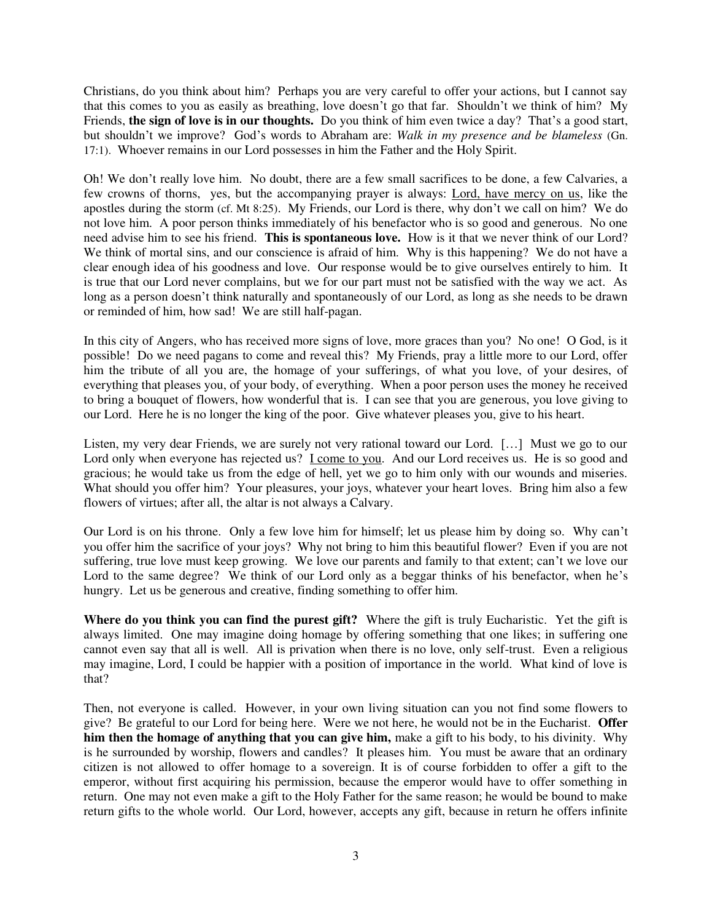Christians, do you think about him? Perhaps you are very careful to offer your actions, but I cannot say that this comes to you as easily as breathing, love doesn't go that far. Shouldn't we think of him? My Friends, **the sign of love is in our thoughts.** Do you think of him even twice a day? That's a good start, but shouldn't we improve? God's words to Abraham are: *Walk in my presence and be blameless* (Gn. 17:1). Whoever remains in our Lord possesses in him the Father and the Holy Spirit.

Oh! We don't really love him. No doubt, there are a few small sacrifices to be done, a few Calvaries, a few crowns of thorns, yes, but the accompanying prayer is always: Lord, have mercy on us, like the apostles during the storm (cf. Mt 8:25). My Friends, our Lord is there, why don't we call on him? We do not love him. A poor person thinks immediately of his benefactor who is so good and generous. No one need advise him to see his friend. **This is spontaneous love.** How is it that we never think of our Lord? We think of mortal sins, and our conscience is afraid of him. Why is this happening? We do not have a clear enough idea of his goodness and love. Our response would be to give ourselves entirely to him. It is true that our Lord never complains, but we for our part must not be satisfied with the way we act. As long as a person doesn't think naturally and spontaneously of our Lord, as long as she needs to be drawn or reminded of him, how sad! We are still half-pagan.

In this city of Angers, who has received more signs of love, more graces than you? No one! O God, is it possible! Do we need pagans to come and reveal this? My Friends, pray a little more to our Lord, offer him the tribute of all you are, the homage of your sufferings, of what you love, of your desires, of everything that pleases you, of your body, of everything. When a poor person uses the money he received to bring a bouquet of flowers, how wonderful that is. I can see that you are generous, you love giving to our Lord. Here he is no longer the king of the poor. Give whatever pleases you, give to his heart.

Listen, my very dear Friends, we are surely not very rational toward our Lord. […] Must we go to our Lord only when everyone has rejected us? I come to you. And our Lord receives us. He is so good and gracious; he would take us from the edge of hell, yet we go to him only with our wounds and miseries. What should you offer him? Your pleasures, your joys, whatever your heart loves. Bring him also a few flowers of virtues; after all, the altar is not always a Calvary.

Our Lord is on his throne. Only a few love him for himself; let us please him by doing so. Why can't you offer him the sacrifice of your joys? Why not bring to him this beautiful flower? Even if you are not suffering, true love must keep growing. We love our parents and family to that extent; can't we love our Lord to the same degree? We think of our Lord only as a beggar thinks of his benefactor, when he's hungry. Let us be generous and creative, finding something to offer him.

**Where do you think you can find the purest gift?** Where the gift is truly Eucharistic. Yet the gift is always limited. One may imagine doing homage by offering something that one likes; in suffering one cannot even say that all is well. All is privation when there is no love, only self-trust. Even a religious may imagine, Lord, I could be happier with a position of importance in the world. What kind of love is that?

Then, not everyone is called. However, in your own living situation can you not find some flowers to give? Be grateful to our Lord for being here. Were we not here, he would not be in the Eucharist. **Offer him then the homage of anything that you can give him,** make a gift to his body, to his divinity. Why is he surrounded by worship, flowers and candles? It pleases him. You must be aware that an ordinary citizen is not allowed to offer homage to a sovereign. It is of course forbidden to offer a gift to the emperor, without first acquiring his permission, because the emperor would have to offer something in return. One may not even make a gift to the Holy Father for the same reason; he would be bound to make return gifts to the whole world. Our Lord, however, accepts any gift, because in return he offers infinite